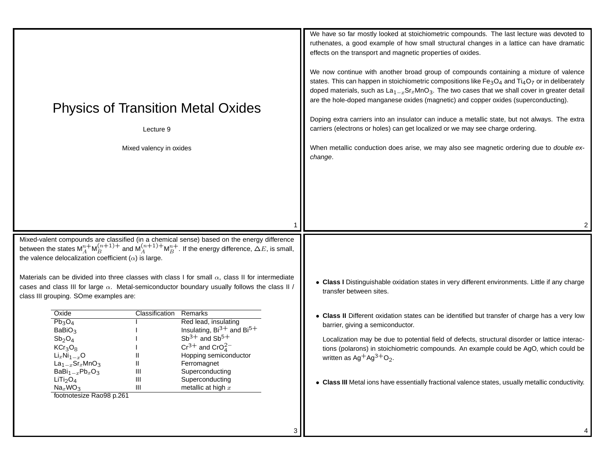| <b>Physics of Transition Metal Oxides</b><br>Lecture 9<br>Mixed valency in oxides                                                                                                                                                                                                                                                                                                                                                                                                                                                                                                   | We have so far mostly looked at stoichiometric compounds. The last lecture was devoted to<br>ruthenates, a good example of how small structural changes in a lattice can have dramatic<br>effects on the transport and magnetic properties of oxides.<br>We now continue with another broad group of compounds containing a mixture of valence<br>states. This can happen in stoichiometric compositions like $Fe3O4$ and $Ti4O7$ or in deliberately<br>doped materials, such as $La_{1-x}Sr_xMnO_3$ . The two cases that we shall cover in greater detail<br>are the hole-doped manganese oxides (magnetic) and copper oxides (superconducting).<br>Doping extra carriers into an insulator can induce a metallic state, but not always. The extra<br>carriers (electrons or holes) can get localized or we may see charge ordering.<br>When metallic conduction does arise, we may also see magnetic ordering due to double ex-<br>change. |
|-------------------------------------------------------------------------------------------------------------------------------------------------------------------------------------------------------------------------------------------------------------------------------------------------------------------------------------------------------------------------------------------------------------------------------------------------------------------------------------------------------------------------------------------------------------------------------------|----------------------------------------------------------------------------------------------------------------------------------------------------------------------------------------------------------------------------------------------------------------------------------------------------------------------------------------------------------------------------------------------------------------------------------------------------------------------------------------------------------------------------------------------------------------------------------------------------------------------------------------------------------------------------------------------------------------------------------------------------------------------------------------------------------------------------------------------------------------------------------------------------------------------------------------------|
| Mixed-valent compounds are classified (in a chemical sense) based on the energy difference<br>between the states $M_A^{n+}M_B^{(n+1)+}$ and $M_A^{(n+1)+}M_B^{n+}$ . If the energy difference, $\Delta E$ , is small,<br>the valence delocalization coefficient $(\alpha)$ is large.                                                                                                                                                                                                                                                                                                |                                                                                                                                                                                                                                                                                                                                                                                                                                                                                                                                                                                                                                                                                                                                                                                                                                                                                                                                              |
| Materials can be divided into three classes with class I for small $\alpha$ , class II for intermediate<br>cases and class III for large $\alpha$ . Metal-semiconductor boundary usually follows the class II /<br>class III grouping. SOme examples are:                                                                                                                                                                                                                                                                                                                           | • Class I Distinguishable oxidation states in very different environments. Little if any charge<br>transfer between sites.                                                                                                                                                                                                                                                                                                                                                                                                                                                                                                                                                                                                                                                                                                                                                                                                                   |
| Oxide<br>Remarks<br>Classification<br>$Pb_3O_4$<br>Red lead, insulating<br>Insulating, $Bi^{3+}$ and $Bi^{5+}$<br>BaBiO <sub>3</sub><br>$Sb^{3+}$ and $Sb^{5+}$<br>Sb <sub>2</sub> O <sub>4</sub><br>$Cr^{3+}$ and $CrOA2-$<br>KCr <sub>3</sub> O <sub>8</sub><br>Hopping semiconductor<br>$Li_xNi_{1-x}O$<br>$La_{1-x}$ Sr <sub>x</sub> MnO <sub>3</sub><br>Ferromagnet<br>BaBi $_{1-x}$ Pb <sub>x</sub> O <sub>3</sub><br>Ш<br>Superconducting<br>Ш<br>Superconducting<br>LiTi <sub>2</sub> O <sub>4</sub><br>Ш<br>metallic at high $x$<br>$Na_xWO_3$<br>footnotesize Rao98 p.261 | • Class II Different oxidation states can be identified but transfer of charge has a very low<br>barrier, giving a semiconductor.<br>Localization may be due to potential field of defects, structural disorder or lattice interac-<br>tions (polarons) in stoichiometric compounds. An example could be AgO, which could be<br>written as Ag <sup>+</sup> Ag <sup>3+</sup> O <sub>2</sub> .<br>• Class III Metal ions have essentially fractional valence states, usually metallic conductivity.                                                                                                                                                                                                                                                                                                                                                                                                                                            |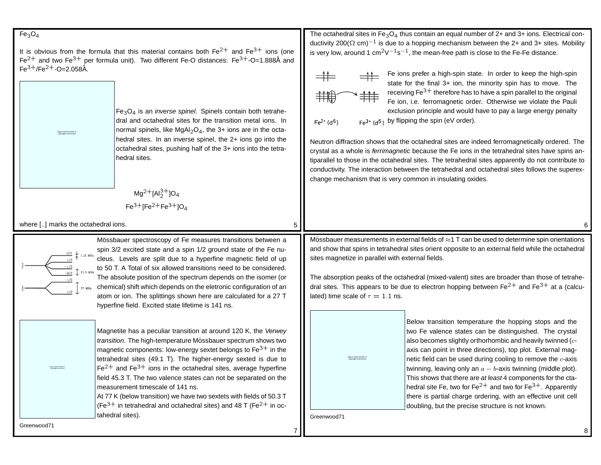## $Fe<sub>3</sub>O<sub>4</sub>$

It is obvious from the formula that this material contains both  $\rm Fe^{2+}$  and  $\rm Fe^{3+}$  ions (one Fe<sup>2+</sup> and two Fe<sup>3+</sup> per formula unit). Two different Fe-O distances: Fe<sup>3+</sup>-O=1.888Å and  $Fe^{3+}/Fe^{2+}$ -O=2.058Å.

> $Fe<sub>3</sub>O<sub>4</sub>$  is an *inverse spinel*. Spinels contain both tetrahedral and octahedral sites for the transition metal ions. In normal spinels, like MgAl<sub>2</sub>O<sub>4</sub>, the 3+ ions are in the octahedral sites. In an inverse spinel, the 2+ ions go into the octahedral sites, pushing half of the 3+ ions into the tetrahedral sites.

$$
Mg^{2+}[Al_2^{3+}]O_4
$$
  
Fe<sup>3+</sup>[Fe<sup>2+</sup>Fe<sup>3+</sup>]O<sub>4</sub>

where [..] marks the octahedral ions.

Figure removed due to copyright restrictions

Mössbauer spectroscopy of Fe measures transitions between a spin 3/2 excited state and <sup>a</sup> spin 1/2 ground state of the Fe nu- $\frac{3/2}{\Lambda}$   $\downarrow$  1.12 MHz cleus. Levels are split due to <sup>a</sup> hyperfine magnetic field of up to 50 T. A Total of six allowed transitions need to be considered.  $-3/2$   $21.3$  MHz The absolute position of the spectrum depends on the isomer (or chemical) shift which depends on the eletronic configuration of an 37 MHz atom or ion. The splittings shown here are calculated for <sup>a</sup> 27 T hyperfine field. Excited state lifetime is 141 ns.

> Magnetite has <sup>a</sup> peculiar transition at around 120 K, the Verwey transition. The high-temperature Mössbauer spectrum shows two magnetic components: low-energy sextet belongs to  $Fe<sup>3+</sup>$  in the tetrahedral sites (49.1 T). The higher-energy sexted is due to  $Fe<sup>2+</sup>$  and  $Fe<sup>3+</sup>$  ions in the octahedral sites, average hyperfine field 45.3 T. The two valence states can not be separated on the measurement timescale of 141 ns.

> At 77 K (below transition) we have two sextets with fields of 50.3 T (Fe<sup>3+</sup> in tetrahedral and octahedral sites) and 48 T (Fe<sup>2+</sup> in octahedral sites).

The octahedral sites in Fe<sub>3</sub>O<sub>4</sub> thus contain an equal number of 2+ and 3+ ions. Electrical conductivity 200(Ω cm)<sup>-1</sup> is due to a hopping mechanism between the 2+ and 3+ sites. Mobility is very low, around 1 cm<sup>2</sup>V<sup>-1</sup>s<sup>-1</sup>, the mean-free path is close to the Fe-Fe distance.

$$
\begin{array}{cc}\n\begin{array}{ccc}\n\downarrow & \downarrow \\
\downarrow & \downarrow \\
\downarrow & \downarrow \\
\end{array}\n\end{array}
$$

 $Fe<sup>2+</sup> (d<sup>6</sup>)$ 

Fe ions prefer <sup>a</sup> high-spin state. In order to keep the high-spin state for the final 3+ ion, the minority spin has to move. The receiving  $Fe^{3+}$  therefore has to have a spin parallel to the original Fe ion, i.e. ferromagnetic order. Otherwise we violate the Pauli exclusion principle and would have to pay <sup>a</sup> large energy penalty  $F e^{3}$  (d<sup>5</sup>) by flipping the spin (eV order).

Neutron diffraction shows that the octahedral sites are indeed ferromagnetically ordered. The crystal as a whole is *ferrimagnetic* because the Fe ions in the tetrahedral sites have spins antiparallel to those in the octahedral sites. The tetrahedral sites apparently do not contribute to conductivity. The interaction between the tetrahedral and octahedral sites follows the superexchange mechanism that is very common in insulating oxides.

Mössbauer measurements in external fields of  $\approx$ 1 T can be used to determine spin orientations and show that spins in tetrahedral sites orient opposite to an external field while the octahedral sites magnetize in parallel with external fields.

The absorption peaks of the octahedral (mixed-valent) sites are broader than those of tetrahedral sites. This appears to be due to electron hopping between  $Fe^{2+}$  and  $Fe^{3+}$  at a (calculated) time scale of  $\tau = 1.1$  ns.

> Figure removed due to copyright restrictions

Below transition temperature the hopping stops and the two Fe valence states can be distinguished. The crystal also becomes slightly orthorhombic and heavily twinned  $(c<sub>z</sub> - c<sub>z</sub>)$ axis can point in three directions), top plot. External magnetic field can be used during cooling to remove the  $c$ -axis twinning, leaving only an  $a - b$ -axis twinning (middle plot). This shows that there are at least 4 components for the ctahedral site Fe, two for Fe<sup>2+</sup> and two for Fe<sup>3+</sup>. Apparently there is partial charge ordering, with an effective unit cell doubling, but the precise structure is not known.

Greenwood71

7

5

Figure removed due to copyright restrictions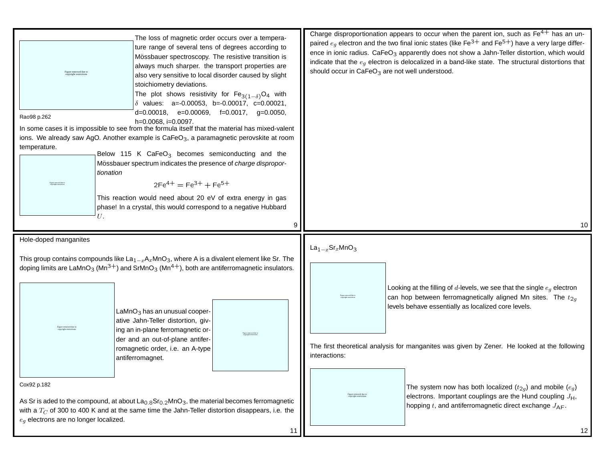| The loss of magnetic order occurs over a tempera-<br>ture range of several tens of degrees according to<br>Mössbauer spectroscopy. The resistive transition is<br>always much sharper. the transport properties are<br>Figure removed due t<br>also very sensitive to local disorder caused by slight<br>stoichiometry deviations.<br>The plot shows resistivity for $Fe_{3(1-\delta)}O_4$ with<br>$\delta$ values: a=-0.00053, b=-0.00017, c=0.00021,<br>$d=0.00018$ , e=0.00069, f=0.0017, g=0.0050,<br>Rao98 p.262<br>h=0.0068, i=0.0097.<br>In some cases it is impossible to see from the formula itself that the material has mixed-valent<br>ions. We already saw AgO. Another example is CaFeO <sub>3</sub> , a paramagnetic perovskite at room<br>temperature.<br>Below 115 K CaFeO <sub>3</sub> becomes semiconducting and the |                                                                                                                                                                                                                                                   | should occur in CaFeO <sub>3</sub> are not well understood. | Charge disproportionation appears to occur when the parent ion, such as $Fe4+$ has an un-<br>paired $e_q$ electron and the two final ionic states (like Fe <sup>3+</sup> and Fe <sup>5+</sup> ) have a very large differ-<br>ence in ionic radius. CaFeO <sub>3</sub> apparently does not show a Jahn-Teller distortion, which would<br>indicate that the $e_q$ electron is delocalized in a band-like state. The structural distortions that |
|------------------------------------------------------------------------------------------------------------------------------------------------------------------------------------------------------------------------------------------------------------------------------------------------------------------------------------------------------------------------------------------------------------------------------------------------------------------------------------------------------------------------------------------------------------------------------------------------------------------------------------------------------------------------------------------------------------------------------------------------------------------------------------------------------------------------------------------|---------------------------------------------------------------------------------------------------------------------------------------------------------------------------------------------------------------------------------------------------|-------------------------------------------------------------|-----------------------------------------------------------------------------------------------------------------------------------------------------------------------------------------------------------------------------------------------------------------------------------------------------------------------------------------------------------------------------------------------------------------------------------------------|
| tionation<br>U.                                                                                                                                                                                                                                                                                                                                                                                                                                                                                                                                                                                                                                                                                                                                                                                                                          | Mössbauer spectrum indicates the presence of charge dispropor-<br>$2Fe^{4+} = Fe^{3+} + Fe^{5+}$<br>This reaction would need about 20 eV of extra energy in gas<br>phase! In a crystal, this would correspond to a negative Hubbard<br>9          |                                                             | 10                                                                                                                                                                                                                                                                                                                                                                                                                                            |
| Hole-doped manganites                                                                                                                                                                                                                                                                                                                                                                                                                                                                                                                                                                                                                                                                                                                                                                                                                    |                                                                                                                                                                                                                                                   |                                                             |                                                                                                                                                                                                                                                                                                                                                                                                                                               |
|                                                                                                                                                                                                                                                                                                                                                                                                                                                                                                                                                                                                                                                                                                                                                                                                                                          | This group contains compounds like $La_{1-x}A_xMnO_3$ , where A is a divalent element like Sr. The<br>doping limits are LaMnO <sub>3</sub> (Mn <sup>3+</sup> ) and SrMnO <sub>3</sub> (Mn <sup>4+</sup> ), both are antiferromagnetic insulators. | $La_{1-x}$ Sr <sub>x</sub> MnO <sub>3</sub>                 |                                                                                                                                                                                                                                                                                                                                                                                                                                               |
|                                                                                                                                                                                                                                                                                                                                                                                                                                                                                                                                                                                                                                                                                                                                                                                                                                          | LaMnO <sub>3</sub> has an unusual cooper-<br>ative Jahn-Teller distortion, giv-<br>ing an in-plane ferromagnetic or-                                                                                                                              | ligure removed due to<br>copyright restrictions             | Looking at the filling of $d$ -levels, we see that the single $e_q$ electron<br>can hop between ferromagnetically aligned Mn sites. The $t_{2g}$<br>levels behave essentially as localized core levels.                                                                                                                                                                                                                                       |
|                                                                                                                                                                                                                                                                                                                                                                                                                                                                                                                                                                                                                                                                                                                                                                                                                                          | der and an out-of-plane antifer-<br>romagnetic order, i.e. an A-type<br>antiferromagnet.                                                                                                                                                          | interactions:                                               | The first theoretical analysis for manganites was given by Zener. He looked at the following                                                                                                                                                                                                                                                                                                                                                  |
| Cox92 p.182                                                                                                                                                                                                                                                                                                                                                                                                                                                                                                                                                                                                                                                                                                                                                                                                                              |                                                                                                                                                                                                                                                   |                                                             | The system now has both localized $(t_{2q})$ and mobile $(e_g)$                                                                                                                                                                                                                                                                                                                                                                               |
| As Sr is aded to the compound, at about $La0.8Sr0.2MnO3$ , the material becomes ferromagnetic<br>with a $T_C$ of 300 to 400 K and at the same time the Jahn-Teller distortion disappears, i.e. the<br>$e_q$ electrons are no longer localized.<br>11                                                                                                                                                                                                                                                                                                                                                                                                                                                                                                                                                                                     |                                                                                                                                                                                                                                                   | Figure removed due to<br>copyright restrictions             | electrons. Important couplings are the Hund coupling $J_H$ ,<br>hopping t, and antiferromagnetic direct exchange $J_{\text{AF}}$ .<br>12                                                                                                                                                                                                                                                                                                      |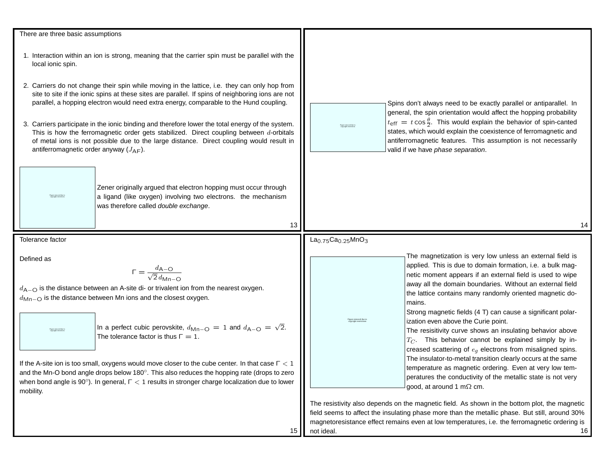| There are three basic assumptions<br>1. Interaction within an ion is strong, meaning that the carrier spin must be parallel with the                                                                                                                                                                                                                                                                                                                                                                                                                                                                                                                                                                                                                           |                                                                                                                                                                                                                                                                                                                                                                                                                                                                                                                                                                                                                                                                                                                                                                                                                  |  |
|----------------------------------------------------------------------------------------------------------------------------------------------------------------------------------------------------------------------------------------------------------------------------------------------------------------------------------------------------------------------------------------------------------------------------------------------------------------------------------------------------------------------------------------------------------------------------------------------------------------------------------------------------------------------------------------------------------------------------------------------------------------|------------------------------------------------------------------------------------------------------------------------------------------------------------------------------------------------------------------------------------------------------------------------------------------------------------------------------------------------------------------------------------------------------------------------------------------------------------------------------------------------------------------------------------------------------------------------------------------------------------------------------------------------------------------------------------------------------------------------------------------------------------------------------------------------------------------|--|
| local ionic spin.<br>2. Carriers do not change their spin while moving in the lattice, i.e. they can only hop from<br>site to site if the ionic spins at these sites are parallel. If spins of neighboring ions are not<br>parallel, a hopping electron would need extra energy, comparable to the Hund coupling.<br>3. Carriers participate in the ionic binding and therefore lower the total energy of the system.<br>This is how the ferromagnetic order gets stabilized. Direct coupling between d-orbitals<br>of metal ions is not possible due to the large distance. Direct coupling would result in<br>antiferromagnetic order anyway $(J_{AF})$ .                                                                                                    | Spins don't always need to be exactly parallel or antiparallel. In<br>general, the spin orientation would affect the hopping probability<br>$t_{\text{eff}} = t \cos \frac{\theta}{2}$ . This would explain the behavior of spin-canted<br>states, which would explain the coexistence of ferromagnetic and<br>antiferromagnetic features. This assumption is not necessarily<br>valid if we have phase separation.                                                                                                                                                                                                                                                                                                                                                                                              |  |
| Zener originally argued that electron hopping must occur through<br>a ligand (like oxygen) involving two electrons. the mechanism<br>was therefore called double exchange.<br>13                                                                                                                                                                                                                                                                                                                                                                                                                                                                                                                                                                               | 14                                                                                                                                                                                                                                                                                                                                                                                                                                                                                                                                                                                                                                                                                                                                                                                                               |  |
| Tolerance factor                                                                                                                                                                                                                                                                                                                                                                                                                                                                                                                                                                                                                                                                                                                                               | $La_{0.75}Ca_{0.25}MnO_3$                                                                                                                                                                                                                                                                                                                                                                                                                                                                                                                                                                                                                                                                                                                                                                                        |  |
| Defined as<br>$\Gamma = \frac{d_{\mathsf{A}-\mathsf{O}}}{\sqrt{2} d_{\mathsf{Mn}-\mathsf{O}}}$<br>$d_{A-O}$ is the distance between an A-site di- or trivalent ion from the nearest oxygen.<br>$d_{\text{Mn}-\text{O}}$ is the distance between Mn ions and the closest oxygen.<br>In a perfect cubic perovskite, $d_{\text{Mn-O}} = 1$ and $d_{\text{A-O}} = \sqrt{2}$ .<br>The tolerance factor is thus $\Gamma = 1$ .<br>If the A-site ion is too small, oxygens would move closer to the cube center. In that case $\Gamma < 1$<br>and the Mn-O bond angle drops below $180^\circ$ . This also reduces the hopping rate (drops to zero<br>when bond angle is $90^{\circ}$ ). In general, $\Gamma < 1$ results in stronger charge localization due to lower | The magnetization is very low unless an external field is<br>applied. This is due to domain formation, i.e. a bulk mag-<br>netic moment appears if an external field is used to wipe<br>away all the domain boundaries. Without an external field<br>the lattice contains many randomly oriented magnetic do-<br>mains.<br>Strong magnetic fields (4 T) can cause a significant polar-<br>ization even above the Curie point.<br>The resisitivity curve shows an insulating behavior above<br>$T_C$ . This behavior cannot be explained simply by in-<br>creased scattering of $e_q$ electrons from misaligned spins.<br>The insulator-to-metal transition clearly occurs at the same<br>temperature as magnetic ordering. Even at very low tem-<br>peratures the conductivity of the metallic state is not very |  |
| mobility.<br>15                                                                                                                                                                                                                                                                                                                                                                                                                                                                                                                                                                                                                                                                                                                                                | good, at around 1 m $\Omega$ cm.<br>The resistivity also depends on the magnetic field. As shown in the bottom plot, the magnetic<br>field seems to affect the insulating phase more than the metallic phase. But still, around 30%<br>magnetoresistance effect remains even at low temperatures, i.e. the ferromagnetic ordering is<br>not ideal.<br>16                                                                                                                                                                                                                                                                                                                                                                                                                                                         |  |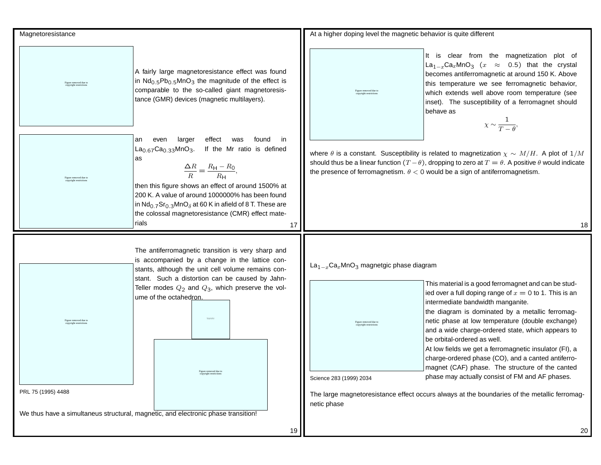| Magnetoresistance                                                                                                                                                                                                                                                                                                                                                                                                                                                                                                                     | At a higher doping level the magnetic behavior is quite different                                                                                                                                                                                                                                                                                                                                                                                                                                                                                                                                                                                                                                                                                                                                    |
|---------------------------------------------------------------------------------------------------------------------------------------------------------------------------------------------------------------------------------------------------------------------------------------------------------------------------------------------------------------------------------------------------------------------------------------------------------------------------------------------------------------------------------------|------------------------------------------------------------------------------------------------------------------------------------------------------------------------------------------------------------------------------------------------------------------------------------------------------------------------------------------------------------------------------------------------------------------------------------------------------------------------------------------------------------------------------------------------------------------------------------------------------------------------------------------------------------------------------------------------------------------------------------------------------------------------------------------------------|
| A fairly large magnetoresistance effect was found<br>in Nd <sub>0.5</sub> Pb <sub>0.5</sub> MnO <sub>3</sub> the magnitude of the effect is<br>Figure removed due to<br>copyright restrictions<br>comparable to the so-called giant magnetoresis-<br>tance (GMR) devices (magnetic multilayers).                                                                                                                                                                                                                                      | It is clear from the magnetization plot of<br>La <sub>1-x</sub> Ca <sub>x</sub> MnO <sub>3</sub> ( $x \approx 0.5$ ) that the crystal<br>becomes antiferromagnetic at around 150 K. Above<br>this temperature we see ferromagnetic behavior,<br>Figure removed due to<br>which extends well above room temperature (see<br>inset). The susceptibility of a ferromagnet should<br>behave as<br>$\chi \sim \frac{1}{T-\theta}$                                                                                                                                                                                                                                                                                                                                                                         |
| effect<br>found<br>in.<br>even<br>larger<br>was<br>an<br>$La_{0.67}Ca_{0.33}MnO_3.$<br>If the Mr ratio is defined<br>as<br>$\frac{\Delta R}{R} = \frac{R_{\rm H} - R_0}{R_{\rm H}},$<br>Figure removed due to<br>opyright restriction<br>then this figure shows an effect of around 1500% at<br>200 K. A value of around 1000000% has been found<br>in Nd <sub>0.7</sub> Sr <sub>0.3</sub> MnO <sub><math>\delta</math></sub> at 60 K in afield of 8 T. These are<br>the colossal magnetoresistance (CMR) effect mate-<br>rials<br>17 | where $\theta$ is a constant. Susceptibility is related to magnetization $\chi \sim M/H$ . A plot of $1/M$<br>should thus be a linear function $(T - \theta)$ , dropping to zero at $T = \theta$ . A positive $\theta$ would indicate<br>the presence of ferromagnetism. $\theta < 0$ would be a sign of antiferromagnetism.<br>18                                                                                                                                                                                                                                                                                                                                                                                                                                                                   |
| The antiferromagnetic transition is very sharp and<br>is accompanied by a change in the lattice con-<br>stants, although the unit cell volume remains con-<br>stant. Such a distortion can be caused by Jahn-<br>Teller modes $Q_2$ and $Q_3$ , which preserve the vol-<br>ume of the octahedron.<br>Figure temperature<br>Figure removed due to<br>Figure removed due to<br>copyright restrictions<br>PRL 75 (1995) 4488                                                                                                             | $La_{1-x}Ca_xMnO_3$ magnetgic phase diagram<br>This material is a good ferromagnet and can be stud-<br>ied over a full doping range of $x = 0$ to 1. This is an<br>intermediate bandwidth manganite.<br>the diagram is dominated by a metallic ferromag-<br>netic phase at low temperature (double exchange)<br>Figure removed due to<br>copyright restrictions<br>and a wide charge-ordered state, which appears to<br>be orbital-ordered as well.<br>At low fields we get a ferromagnetic insulator (FI), a<br>charge-ordered phase (CO), and a canted antiferro-<br>magnet (CAF) phase. The structure of the canted<br>phase may actually consist of FM and AF phases.<br>Science 283 (1999) 2034<br>The large magnetoresistance effect occurs always at the boundaries of the metallic ferromag- |
| We thus have a simultaneus structural, magnetic, and electronic phase transition!<br>19                                                                                                                                                                                                                                                                                                                                                                                                                                               | netic phase<br>20                                                                                                                                                                                                                                                                                                                                                                                                                                                                                                                                                                                                                                                                                                                                                                                    |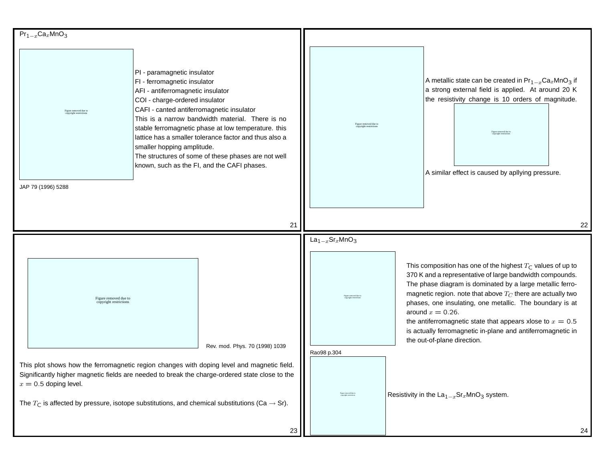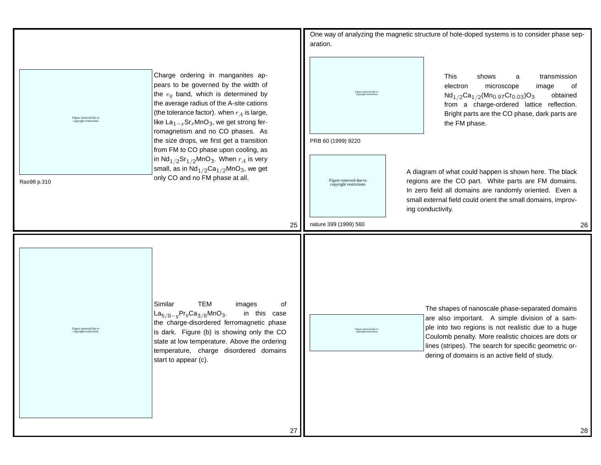|             |                                                 |                                                                                                                                                                                                                                                                                                                           | aration.                                        | One way of analyzing the magnetic structure of hole-doped systems is to consider phase sep-                                                                                                                                                                                                                                  |
|-------------|-------------------------------------------------|---------------------------------------------------------------------------------------------------------------------------------------------------------------------------------------------------------------------------------------------------------------------------------------------------------------------------|-------------------------------------------------|------------------------------------------------------------------------------------------------------------------------------------------------------------------------------------------------------------------------------------------------------------------------------------------------------------------------------|
|             | Figure removed due to<br>copyright restrictions | Charge ordering in manganites ap-<br>pears to be governed by the width of<br>the $e_q$ band, which is determined by<br>the average radius of the A-site cations<br>(the tolerance factor). when $r_A$ is large,<br>like $\text{La}_{1-x}\text{Sr}_x\text{MnO}_3$ , we get strong fer-<br>romagnetism and no CO phases. As | Figure removed due to                           | This<br>shows<br>transmission<br>a<br>electron<br>microscope<br>image<br>of<br>$Nd_{1/2}Ca_{1/2}(Mn_{0.97}Cr_{0.03})O_3$<br>obtained<br>from a charge-ordered lattice reflection.<br>Bright parts are the CO phase, dark parts are<br>the FM phase.                                                                          |
|             |                                                 | the size drops, we first get a transition<br>from FM to CO phase upon cooling, as<br>in $Nd_{1/2}Sr_{1/2}MnO_3$ . When $r_A$ is very<br>small, as in $Nd_{1/2}Ca_{1/2}MnO_3$ , we get                                                                                                                                     | PRB 60 (1999) 9220                              | A diagram of what could happen is shown here. The black                                                                                                                                                                                                                                                                      |
| Rao98 p.310 |                                                 | only CO and no FM phase at all.                                                                                                                                                                                                                                                                                           | Figure removed due to<br>copyright restrictions | regions are the CO part. White parts are FM domains.<br>In zero field all domains are randomly oriented. Even a<br>small external field could orient the small domains, improv-<br>ing conductivity.                                                                                                                         |
|             |                                                 | 25                                                                                                                                                                                                                                                                                                                        | nature 399 (1999) 560                           | 26                                                                                                                                                                                                                                                                                                                           |
|             | Figure removed due to<br>copyright restrictions | Similar<br><b>TEM</b><br>οf<br>images<br>$La_{5/8-y}Pr_{y}Ca_{3/8}MnO_3.$<br>in this case<br>the charge-disordered ferromagnetic phase<br>is dark. Figure (b) is showing only the CO<br>state at low temperature. Above the ordering<br>temperature, charge disordered domains<br>start to appear (c).                    | Figure removed due to                           | The shapes of nanoscale phase-separated domains<br>are also important. A simple division of a sam-<br>ple into two regions is not realistic due to a huge<br>Coulomb penalty. More realistic choices are dots or<br>lines (stripes). The search for specific geometric or-<br>dering of domains is an active field of study. |
|             |                                                 | 27                                                                                                                                                                                                                                                                                                                        |                                                 | 28                                                                                                                                                                                                                                                                                                                           |